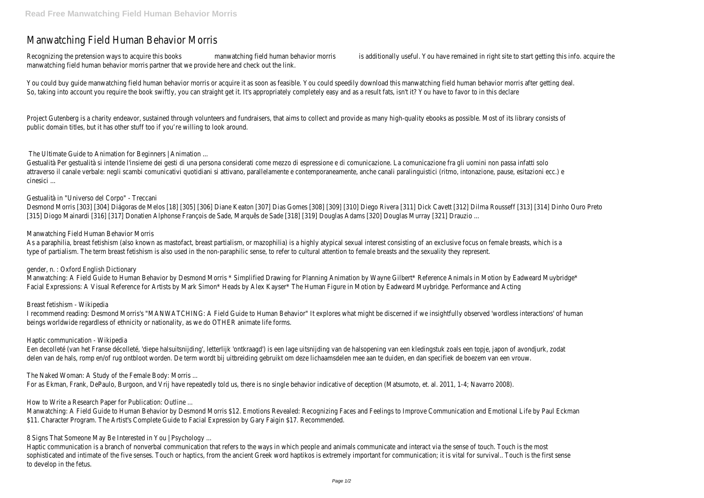# Manwatching Field Human Behavior Morris

Recognizing the pretension ways to acquire this books manwatching field human behavior morris is additionally useful. You have remained in right site to start getting this info. acquire the manwatching field human behavior morris partner that we provide here and check out the link.

You could buy guide manwatching field human behavior morris or acquire it as soon as feasible. You could speedily download this manwatching field human behavior morris after getting deal. So, taking into account you require the book swiftly, you can straight get it. It's appropriately completely easy and as a result fats, isn't it? You have to favor to in this declare

Project Gutenberg is a charity endeavor, sustained through volunteers and fundraisers, that aims to collect and provide as many high-quality ebooks as possible. Most of its library consists of public domain titles, but it has other stuff too if you're willing to look around.

The Ultimate Guide to Animation for Beginners | Animation ...

As a paraphilia, breast fetishism (also known as mastofact, breast partialism, or mazophilia) is a highly atypical sexual interest consisting of an exclusive focus on female breasts, which is a type of partialism. The term breast fetishism is also used in the non-paraphilic sense, to refer to cultural attention to female breasts and the sexuality they represent.

Gestualità Per gestualità si intende l'insieme dei gesti di una persona considerati come mezzo di espressione e di comunicazione. La comunicazione fra gli uomini non passa infatti solo attraverso il canale verbale: negli scambi comunicativi quotidiani si attivano, parallelamente e contemporaneamente, anche canali paralinguistici (ritmo, intonazione, pause, esitazioni ecc.) e cinesici ...

Manwatching: A Field Guide to Human Behavior by Desmond Morris \* Simplified Drawing for Planning Animation by Wayne Gilbert\* Reference Animals in Motion by Eadweard Muybridge\* Facial Expressions: A Visual Reference for Artists by Mark Simon\* Heads by Alex Kayser\* The Human Figure in Motion by Eadweard Muybridge. Performance and Acting

# Gestualità in "Universo del Corpo" - Treccani

Desmond Morris [303] [304] Diágoras de Melos [18] [305] [306] Diane Keaton [307] Dias Gomes [308] [309] [310] Diego Rivera [311] Dick Cavett [312] Dilma Rousseff [313] [314] Dinho Ouro Preto [315] Diogo Mainardi [316] [317] Donatien Alphonse François de Sade, Marquês de Sade [318] [319] Douglas Adams [320] Douglas Murray [321] Drauzio ...

Manwatching: A Field Guide to Human Behavior by Desmond Morris \$12. Emotions Revealed: Recognizing Faces and Feelings to Improve Communication and Emotional Life by Paul Eckman \$11. Character Program. The Artist's Complete Guide to Facial Expression by Gary Faigin \$17. Recommended.

#### Manwatching Field Human Behavior Morris

#### gender, n. : Oxford English Dictionary

#### Breast fetishism - Wikipedia

I recommend reading: Desmond Morris's "MANWATCHING: A Field Guide to Human Behavior" It explores what might be discerned if we insightfully observed 'wordless interactions' of human beings worldwide regardless of ethnicity or nationality, as we do OTHER animate life forms.

#### Haptic communication - Wikipedia

Een decolleté (van het Franse décolleté, 'diepe halsuitsnijding', letterlijk 'ontkraagd') is een lage uitsnijding van de halsopening van een kledingstuk zoals een topje, japon of avondjurk, zodat delen van de hals, romp en/of rug ontbloot worden. De term wordt bij uitbreiding gebruikt om deze lichaamsdelen mee aan te duiden, en dan specifiek de boezem van een vrouw.

#### The Naked Woman: A Study of the Female Body: Morris ...

For as Ekman, Frank, DePaulo, Burgoon, and Vrij have repeatedly told us, there is no single behavior indicative of deception (Matsumoto, et. al. 2011, 1-4; Navarro 2008).

#### How to Write a Research Paper for Publication: Outline ...

8 Signs That Someone May Be Interested in You | Psychology ...

Haptic communication is a branch of nonverbal communication that refers to the ways in which people and animals communicate and interact via the sense of touch. Touch is the most sophisticated and intimate of the five senses. Touch or haptics, from the ancient Greek word haptikos is extremely important for communication; it is vital for survival.. Touch is the first sense to develop in the fetus.